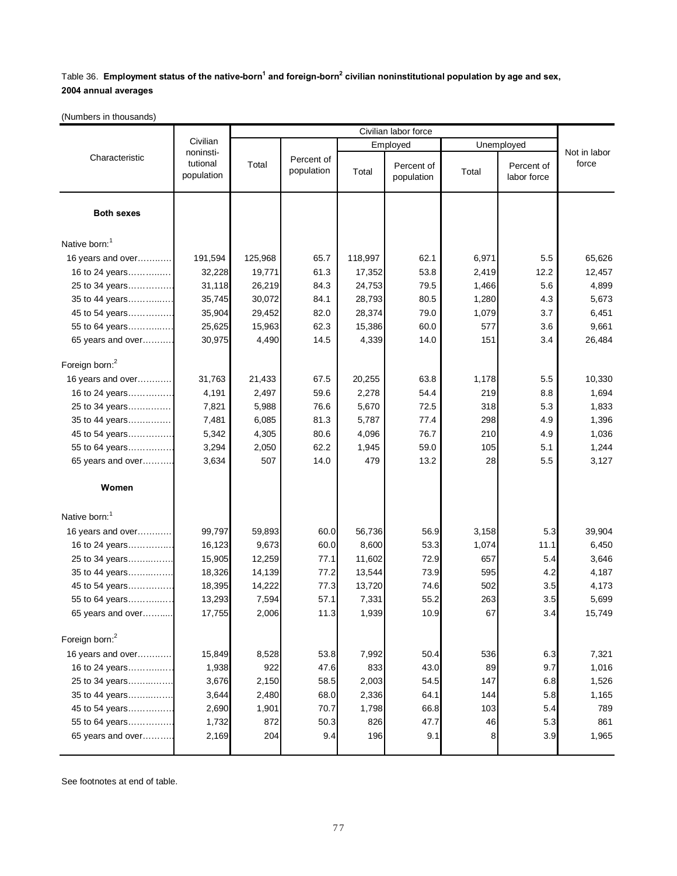## Table 36. **Employment status of the native-born<sup>1</sup> and foreign-born<sup>2</sup> civilian noninstitutional population by age and sex, 2004 annual averages**

(Numbers in thousands)

|                            | Civilian<br>noninsti-<br>tutional<br>population | Civilian labor force |                          |          |                          |            |                           |                       |
|----------------------------|-------------------------------------------------|----------------------|--------------------------|----------|--------------------------|------------|---------------------------|-----------------------|
| Characteristic             |                                                 |                      |                          | Employed |                          | Unemployed |                           |                       |
|                            |                                                 | Total                | Percent of<br>population | Total    | Percent of<br>population | Total      | Percent of<br>labor force | Not in labor<br>force |
| <b>Both sexes</b>          |                                                 |                      |                          |          |                          |            |                           |                       |
| Native born: <sup>1</sup>  |                                                 |                      |                          |          |                          |            |                           |                       |
| 16 years and over          | 191,594                                         | 125,968              | 65.7                     | 118,997  | 62.1                     | 6,971      | 5.5                       | 65,626                |
| 16 to 24 years             | 32,228                                          | 19,771               | 61.3                     | 17,352   | 53.8                     | 2,419      | 12.2                      | 12,457                |
| 25 to 34 years             | 31,118                                          | 26,219               | 84.3                     | 24,753   | 79.5                     | 1,466      | 5.6                       | 4,899                 |
| 35 to 44 years             | 35,745                                          | 30,072               | 84.1                     | 28,793   | 80.5                     | 1,280      | 4.3                       | 5,673                 |
| 45 to 54 years             | 35,904                                          | 29,452               | 82.0                     | 28,374   | 79.0                     | 1,079      | 3.7                       | 6,451                 |
| 55 to 64 years             | 25,625                                          | 15,963               | 62.3                     | 15,386   | 60.0                     | 577        | 3.6                       | 9,661                 |
| 65 years and over          | 30,975                                          | 4,490                | 14.5                     | 4,339    | 14.0                     | 151        | 3.4                       | 26,484                |
| Foreign born: <sup>2</sup> |                                                 |                      |                          |          |                          |            |                           |                       |
| 16 years and over          | 31,763                                          | 21,433               | 67.5                     | 20,255   | 63.8                     | 1,178      | 5.5                       | 10,330                |
| 16 to 24 years             | 4,191                                           | 2,497                | 59.6                     | 2,278    | 54.4                     | 219        | 8.8                       | 1,694                 |
| 25 to 34 years             | 7,821                                           | 5,988                | 76.6                     | 5,670    | 72.5                     | 318        | 5.3                       | 1,833                 |
| 35 to 44 years             | 7,481                                           | 6,085                | 81.3                     | 5,787    | 77.4                     | 298        | 4.9                       | 1,396                 |
| 45 to 54 years             | 5,342                                           | 4,305                | 80.6                     | 4,096    | 76.7                     | 210        | 4.9                       | 1,036                 |
| 55 to 64 years             | 3,294                                           | 2,050                | 62.2                     | 1,945    | 59.0                     | 105        | 5.1                       | 1,244                 |
| 65 years and over          | 3,634                                           | 507                  | 14.0                     | 479      | 13.2                     | 28         | 5.5                       | 3,127                 |
| Women                      |                                                 |                      |                          |          |                          |            |                           |                       |
| Native born:               |                                                 |                      |                          |          |                          |            |                           |                       |
| 16 years and over          | 99,797                                          | 59,893               | 60.0                     | 56,736   | 56.9                     | 3,158      | 5.3                       | 39,904                |
| 16 to 24 years             | 16,123                                          | 9,673                | 60.0                     | 8,600    | 53.3                     | 1,074      | 11.1                      | 6,450                 |
| 25 to 34 years             | 15,905                                          | 12,259               | 77.1                     | 11,602   | 72.9                     | 657        | 5.4                       | 3,646                 |
| 35 to 44 years             | 18,326                                          | 14,139               | 77.2                     | 13,544   | 73.9                     | 595        | 4.2                       | 4,187                 |
| 45 to 54 years             | 18,395                                          | 14,222               | 77.3                     | 13,720   | 74.6                     | 502        | 3.5                       | 4,173                 |
| 55 to 64 years             | 13,293                                          | 7,594                | 57.1                     | 7,331    | 55.2                     | 263        | 3.5                       | 5,699                 |
| 65 years and over          | 17,755                                          | 2,006                | 11.3                     | 1,939    | 10.9                     | 67         | 3.4                       | 15,749                |
| Foreign born: <sup>2</sup> |                                                 |                      |                          |          |                          |            |                           |                       |
| 16 years and over          | 15,849                                          | 8,528                | 53.8                     | 7,992    | 50.4                     | 536        | 6.3                       | 7,321                 |
| 16 to 24 years             | 1,938                                           | 922                  | 47.6                     | 833      | 43.0                     | 89         | 9.7                       | 1,016                 |
| 25 to 34 years             | 3,676                                           | 2,150                | 58.5                     | 2,003    | 54.5                     | 147        | 6.8                       | 1,526                 |
| 35 to 44 years             | 3,644                                           | 2,480                | 68.0                     | 2,336    | 64.1                     | 144        | 5.8                       | 1,165                 |
| 45 to 54 years             | 2,690                                           | 1,901                | 70.7                     | 1,798    | 66.8                     | 103        | 5.4                       | 789                   |
| 55 to 64 years             | 1,732                                           | 872                  | 50.3                     | 826      | 47.7                     | 46         | 5.3                       | 861                   |
| 65 years and over          | 2,169                                           | 204                  | 9.4                      | 196      | 9.1                      | 8          | 3.9                       | 1,965                 |
|                            |                                                 |                      |                          |          |                          |            |                           |                       |

See footnotes at end of table.